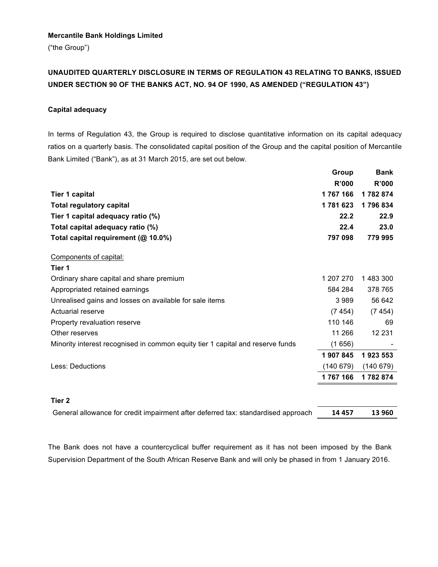## **Mercantile Bank Holdings Limited**

("the Group")

## **UNAUDITED QUARTERLY DISCLOSURE IN TERMS OF REGULATION 43 RELATING TO BANKS, ISSUED UNDER SECTION 90 OF THE BANKS ACT, NO. 94 OF 1990, AS AMENDED ("REGULATION 43")**

## **Capital adequacy**

In terms of Regulation 43, the Group is required to disclose quantitative information on its capital adequacy ratios on a quarterly basis. The consolidated capital position of the Group and the capital position of Mercantile Bank Limited ("Bank"), as at 31 March 2015, are set out below.

|                                                                                | Group     | <b>Bank</b> |
|--------------------------------------------------------------------------------|-----------|-------------|
|                                                                                | R'000     | R'000       |
| <b>Tier 1 capital</b>                                                          | 1767166   | 1782874     |
| <b>Total regulatory capital</b>                                                | 1781623   | 1796834     |
| Tier 1 capital adequacy ratio (%)                                              | 22.2      | 22.9        |
| Total capital adequacy ratio (%)                                               | 22.4      | 23.0        |
| Total capital requirement (@ 10.0%)                                            | 797 098   | 779 995     |
| Components of capital:                                                         |           |             |
| Tier 1                                                                         |           |             |
| Ordinary share capital and share premium                                       | 1 207 270 | 1483300     |
| Appropriated retained earnings                                                 | 584 284   | 378 765     |
| Unrealised gains and losses on available for sale items                        | 3 9 8 9   | 56 642      |
| Actuarial reserve                                                              | (7454)    | (7454)      |
| Property revaluation reserve                                                   | 110 146   | 69          |
| Other reserves                                                                 | 11 266    | 12 2 3 1    |
| Minority interest recognised in common equity tier 1 capital and reserve funds | (1656)    |             |
|                                                                                | 1 907 845 | 1923 553    |
| Less: Deductions                                                               | (140679)  | (140679)    |
|                                                                                | 1767166   | 1782874     |
|                                                                                |           |             |
| Tier 2                                                                         |           |             |
|                                                                                |           |             |

General allowance for credit impairment after deferred tax: standardised approach **14 457 13 960**

The Bank does not have a countercyclical buffer requirement as it has not been imposed by the Bank Supervision Department of the South African Reserve Bank and will only be phased in from 1 January 2016.